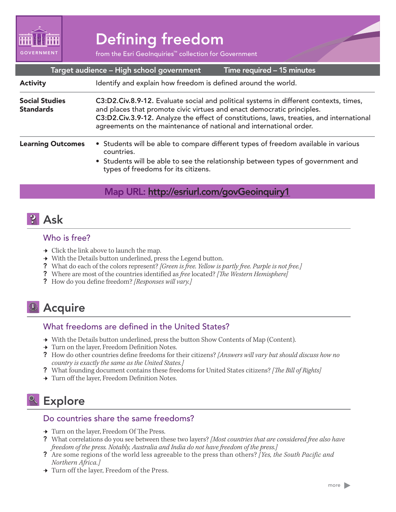

# Defining freedom

from the Esri GeoInquiries™ collection for Government

| Target audience - High school government<br>Time required - 15 minutes |                                                                                                                                                                                                                                                                                                                                   |
|------------------------------------------------------------------------|-----------------------------------------------------------------------------------------------------------------------------------------------------------------------------------------------------------------------------------------------------------------------------------------------------------------------------------|
| <b>Activity</b>                                                        | Identify and explain how freedom is defined around the world.                                                                                                                                                                                                                                                                     |
| <b>Social Studies</b><br><b>Standards</b>                              | C3:D2.Civ.8.9-12. Evaluate social and political systems in different contexts, times,<br>and places that promote civic virtues and enact democratic principles.<br>C3:D2.Civ.3.9-12. Analyze the effect of constitutions, laws, treaties, and international<br>agreements on the maintenance of national and international order. |
| <b>Learning Outcomes</b>                                               | • Students will be able to compare different types of freedom available in various<br>countries.<br>• Students will be able to see the relationship between types of government and<br>types of freedoms for its citizens.                                                                                                        |

### Map URL: http://esriurl.com/govGeoinquiry1

### **P** Ask

#### Who is free?

- $\rightarrow$  Click the link above to launch the map.
- → With the Details button underlined, press the Legend button.
- ? What do each of the colors represent? *[Green is free. Yellow is partly free. Purple is not free.]*
- ? Where are most of the countries identified as *free* located? *[The Western Hemisphere]*
- ? How do you define freedom? *[Responses will vary.]*

## <sup>1</sup> Acquire

#### What freedoms are defined in the United States?

- → With the Details button underlined, press the button Show Contents of Map (Content).
- → Turn on the layer, Freedom Definition Notes.
- ? How do other countries define freedoms for their citizens? *[Answers will vary but should discuss how no country is exactly the same as the United States.]*
- ? What founding document contains these freedoms for United States citizens? *[The Bill of Rights]*
- → Turn off the layer, Freedom Definition Notes.

## <sup>o</sup> Explore

#### Do countries share the same freedoms?

- → Turn on the layer, Freedom Of The Press.
- ? What correlations do you see between these two layers? *[Most countries that are considered free also have freedom of the press. Notably, Australia and India do not have freedom of the press.]*
- ? Are some regions of the world less agreeable to the press than others? *[Yes, the South Pacific and Northern Africa.]*
- → Turn off the layer, Freedom of the Press.